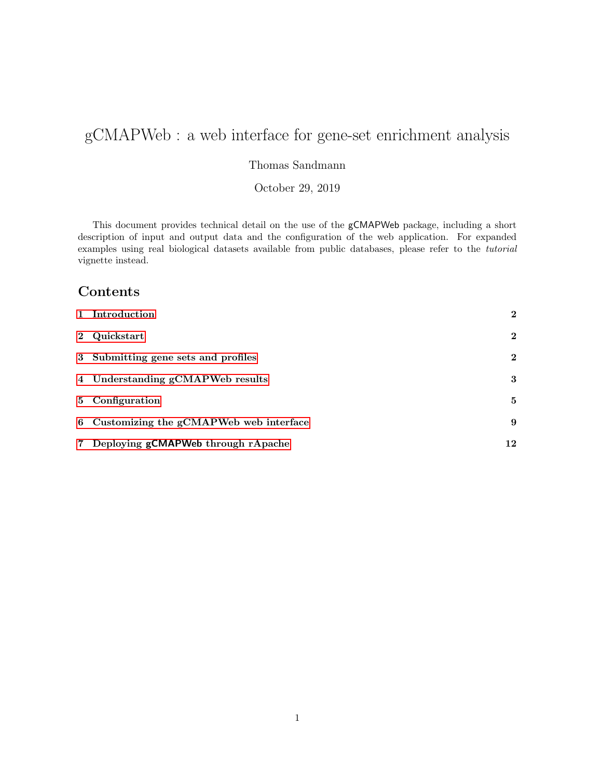# gCMAPWeb : a web interface for gene-set enrichment analysis

Thomas Sandmann

October 29, 2019

This document provides technical detail on the use of the gCMAPWeb package, including a short description of input and output data and the configuration of the web application. For expanded examples using real biological datasets available from public databases, please refer to the tutorial vignette instead.

# Contents

| 1 Introduction                           | $\mathbf{2}$ |
|------------------------------------------|--------------|
| 2 Quickstart                             | $\mathbf{2}$ |
| 3 Submitting gene sets and profiles      | $\mathbf{2}$ |
| 4 Understanding gCMAPWeb results         | 3            |
| 5 Configuration                          | 5            |
| 6 Customizing the gCMAPWeb web interface | 9            |
| 7 Deploying gCMAPWeb through rApache     | 12           |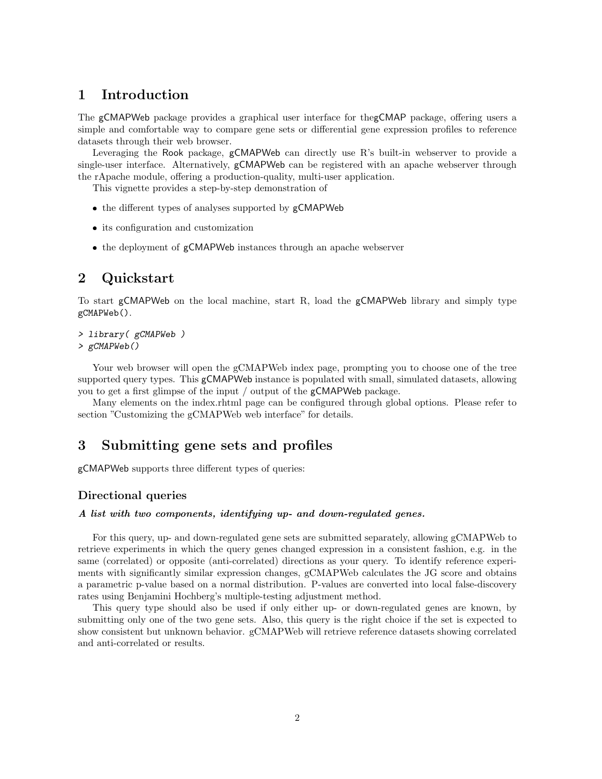# <span id="page-1-0"></span>1 Introduction

The gCMAPWeb package provides a graphical user interface for thegCMAP package, offering users a simple and comfortable way to compare gene sets or differential gene expression profiles to reference datasets through their web browser.

Leveraging the Rook package, gCMAPWeb can directly use R's built-in webserver to provide a single-user interface. Alternatively, gCMAPWeb can be registered with an apache webserver through the rApache module, offering a production-quality, multi-user application.

This vignette provides a step-by-step demonstration of

- the different types of analyses supported by  $gCMAPWeb$
- its configuration and customization
- the deployment of gCMAPWeb instances through an apache webserver

# <span id="page-1-1"></span>2 Quickstart

To start gCMAPWeb on the local machine, start R, load the gCMAPWeb library and simply type gCMAPWeb().

```
> library( gCMAPWeb )
> gCMAPWeb()
```
Your web browser will open the gCMAPWeb index page, prompting you to choose one of the tree supported query types. This gCMAPWeb instance is populated with small, simulated datasets, allowing you to get a first glimpse of the input / output of the gCMAPWeb package.

Many elements on the index.rhtml page can be configured through global options. Please refer to section "Customizing the gCMAPWeb web interface" for details.

# <span id="page-1-2"></span>3 Submitting gene sets and profiles

gCMAPWeb supports three different types of queries:

### Directional queries

#### A list with two components, identifying up- and down-regulated genes.

For this query, up- and down-regulated gene sets are submitted separately, allowing gCMAPWeb to retrieve experiments in which the query genes changed expression in a consistent fashion, e.g. in the same (correlated) or opposite (anti-correlated) directions as your query. To identify reference experiments with significantly similar expression changes, gCMAPWeb calculates the JG score and obtains a parametric p-value based on a normal distribution. P-values are converted into local false-discovery rates using Benjamini Hochberg's multiple-testing adjustment method.

This query type should also be used if only either up- or down-regulated genes are known, by submitting only one of the two gene sets. Also, this query is the right choice if the set is expected to show consistent but unknown behavior. gCMAPWeb will retrieve reference datasets showing correlated and anti-correlated or results.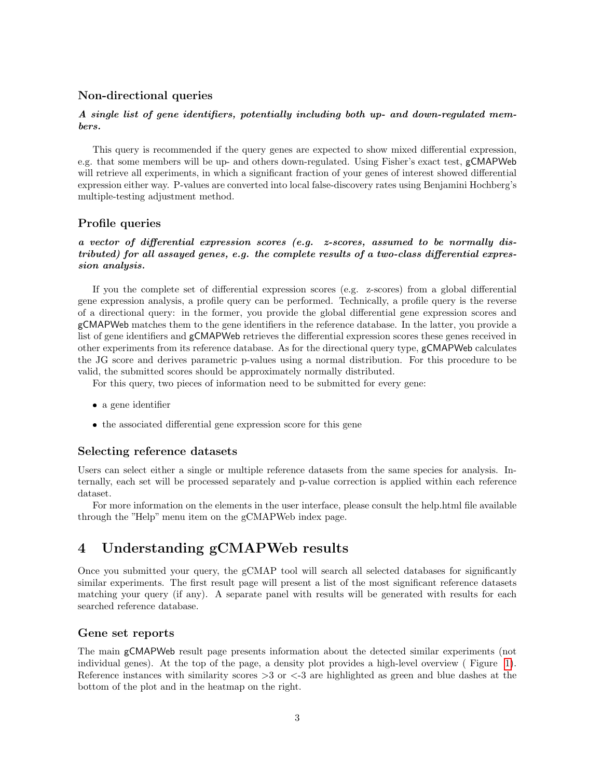#### Non-directional queries

#### A single list of gene identifiers, potentially including both up- and down-regulated members.

This query is recommended if the query genes are expected to show mixed differential expression, e.g. that some members will be up- and others down-regulated. Using Fisher's exact test, gCMAPWeb will retrieve all experiments, in which a significant fraction of your genes of interest showed differential expression either way. P-values are converted into local false-discovery rates using Benjamini Hochberg's multiple-testing adjustment method.

#### Profile queries

### a vector of differential expression scores (e.g. z-scores, assumed to be normally distributed) for all assayed genes, e.g. the complete results of a two-class differential expression analysis.

If you the complete set of differential expression scores (e.g. z-scores) from a global differential gene expression analysis, a profile query can be performed. Technically, a profile query is the reverse of a directional query: in the former, you provide the global differential gene expression scores and gCMAPWeb matches them to the gene identifiers in the reference database. In the latter, you provide a list of gene identifiers and gCMAPWeb retrieves the differential expression scores these genes received in other experiments from its reference database. As for the directional query type, gCMAPWeb calculates the JG score and derives parametric p-values using a normal distribution. For this procedure to be valid, the submitted scores should be approximately normally distributed.

For this query, two pieces of information need to be submitted for every gene:

- a gene identifier
- the associated differential gene expression score for this gene

#### Selecting reference datasets

Users can select either a single or multiple reference datasets from the same species for analysis. Internally, each set will be processed separately and p-value correction is applied within each reference dataset.

For more information on the elements in the user interface, please consult the help.html file available through the "Help" menu item on the gCMAPWeb index page.

# <span id="page-2-0"></span>4 Understanding gCMAPWeb results

Once you submitted your query, the gCMAP tool will search all selected databases for significantly similar experiments. The first result page will present a list of the most significant reference datasets matching your query (if any). A separate panel with results will be generated with results for each searched reference database.

#### Gene set reports

The main gCMAPWeb result page presents information about the detected similar experiments (not individual genes). At the top of the page, a density plot provides a high-level overview ( Figure [1\)](#page-3-0). Reference instances with similarity scores  $>3$  or  $<$ -3 are highlighted as green and blue dashes at the bottom of the plot and in the heatmap on the right.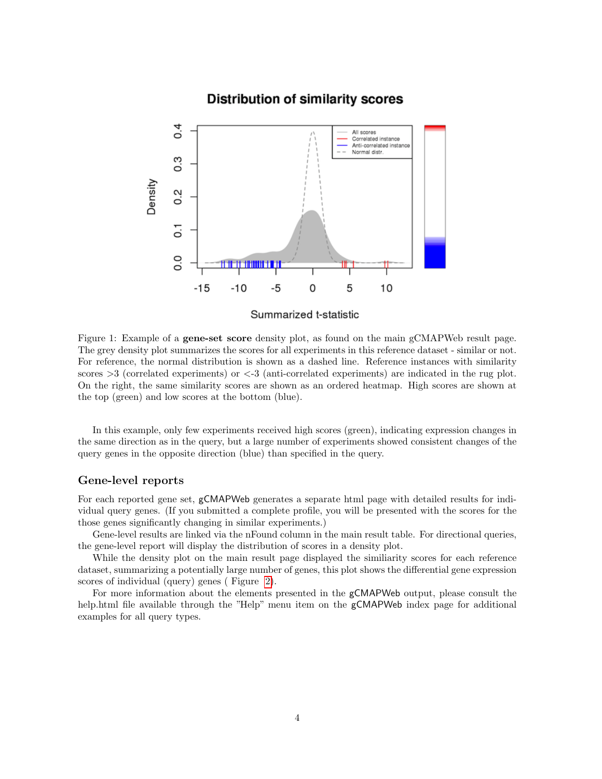### **Distribution of similarity scores**

<span id="page-3-0"></span>

Summarized t-statistic

Figure 1: Example of a gene-set score density plot, as found on the main gCMAPWeb result page. The grey density plot summarizes the scores for all experiments in this reference dataset - similar or not. For reference, the normal distribution is shown as a dashed line. Reference instances with similarity scores >3 (correlated experiments) or <-3 (anti-correlated experiments) are indicated in the rug plot. On the right, the same similarity scores are shown as an ordered heatmap. High scores are shown at the top (green) and low scores at the bottom (blue).

In this example, only few experiments received high scores (green), indicating expression changes in the same direction as in the query, but a large number of experiments showed consistent changes of the query genes in the opposite direction (blue) than specified in the query.

#### Gene-level reports

For each reported gene set, gCMAPWeb generates a separate html page with detailed results for individual query genes. (If you submitted a complete profile, you will be presented with the scores for the those genes significantly changing in similar experiments.)

Gene-level results are linked via the nFound column in the main result table. For directional queries, the gene-level report will display the distribution of scores in a density plot.

While the density plot on the main result page displayed the similiarity scores for each reference dataset, summarizing a potentially large number of genes, this plot shows the differential gene expression scores of individual (query) genes ( Figure [2\)](#page-4-1).

For more information about the elements presented in the gCMAPWeb output, please consult the help.html file available through the "Help" menu item on the gCMAPWeb index page for additional examples for all query types.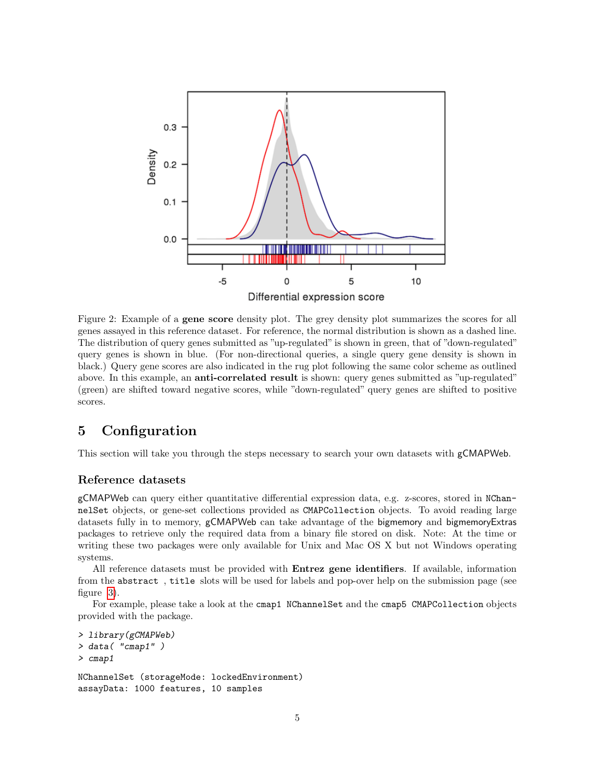<span id="page-4-1"></span>

Figure 2: Example of a gene score density plot. The grey density plot summarizes the scores for all genes assayed in this reference dataset. For reference, the normal distribution is shown as a dashed line. The distribution of query genes submitted as "up-regulated" is shown in green, that of "down-regulated" query genes is shown in blue. (For non-directional queries, a single query gene density is shown in black.) Query gene scores are also indicated in the rug plot following the same color scheme as outlined above. In this example, an **anti-correlated result** is shown: query genes submitted as "up-regulated" (green) are shifted toward negative scores, while "down-regulated" query genes are shifted to positive scores.

# <span id="page-4-0"></span>5 Configuration

This section will take you through the steps necessary to search your own datasets with gCMAPWeb.

#### Reference datasets

gCMAPWeb can query either quantitative differential expression data, e.g. z-scores, stored in NChannelSet objects, or gene-set collections provided as CMAPCollection objects. To avoid reading large datasets fully in to memory, gCMAPWeb can take advantage of the bigmemory and bigmemoryExtras packages to retrieve only the required data from a binary file stored on disk. Note: At the time or writing these two packages were only available for Unix and Mac OS X but not Windows operating systems.

All reference datasets must be provided with Entrez gene identifiers. If available, information from the abstract , title slots will be used for labels and pop-over help on the submission page (see figure [3\)](#page-7-0).

For example, please take a look at the cmap1 NChannelSet and the cmap5 CMAPCollection objects provided with the package.

```
> library(gCMAPWeb)
> data( "cmap1" )
> cmap1
NChannelSet (storageMode: lockedEnvironment)
assayData: 1000 features, 10 samples
```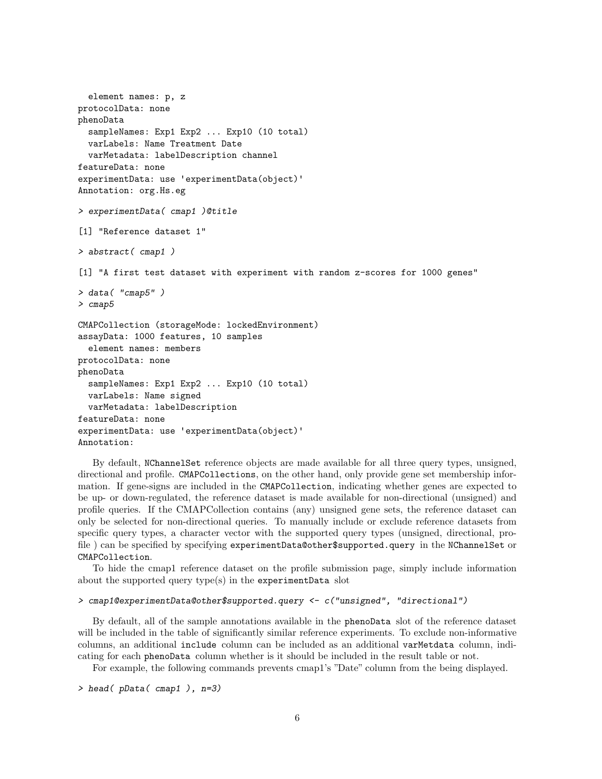```
element names: p, z
protocolData: none
phenoData
  sampleNames: Exp1 Exp2 ... Exp10 (10 total)
  varLabels: Name Treatment Date
  varMetadata: labelDescription channel
featureData: none
experimentData: use 'experimentData(object)'
Annotation: org.Hs.eg
> experimentData( cmap1 )@title
[1] "Reference dataset 1"
> abstract( cmap1 )
[1] "A first test dataset with experiment with random z-scores for 1000 genes"
> data( "cmap5" )
> cmap5
CMAPCollection (storageMode: lockedEnvironment)
assayData: 1000 features, 10 samples
  element names: members
protocolData: none
phenoData
  sampleNames: Exp1 Exp2 ... Exp10 (10 total)
  varLabels: Name signed
  varMetadata: labelDescription
featureData: none
experimentData: use 'experimentData(object)'
Annotation:
```
By default, NChannelSet reference objects are made available for all three query types, unsigned, directional and profile. CMAPCollections, on the other hand, only provide gene set membership information. If gene-signs are included in the CMAPCollection, indicating whether genes are expected to be up- or down-regulated, the reference dataset is made available for non-directional (unsigned) and profile queries. If the CMAPCollection contains (any) unsigned gene sets, the reference dataset can only be selected for non-directional queries. To manually include or exclude reference datasets from specific query types, a character vector with the supported query types (unsigned, directional, profile ) can be specified by specifying experimentData@other\$supported.query in the NChannelSet or CMAPCollection.

To hide the cmap1 reference dataset on the profile submission page, simply include information about the supported query type(s) in the experimentData slot

## > cmap1@experimentData@other\$supported.query <- c("unsigned", "directional")

By default, all of the sample annotations available in the phenoData slot of the reference dataset will be included in the table of significantly similar reference experiments. To exclude non-informative columns, an additional include column can be included as an additional varMetdata column, indicating for each phenoData column whether is it should be included in the result table or not.

For example, the following commands prevents cmap1's "Date" column from the being displayed.

```
> head( pData( cmap1 ), n=3)
```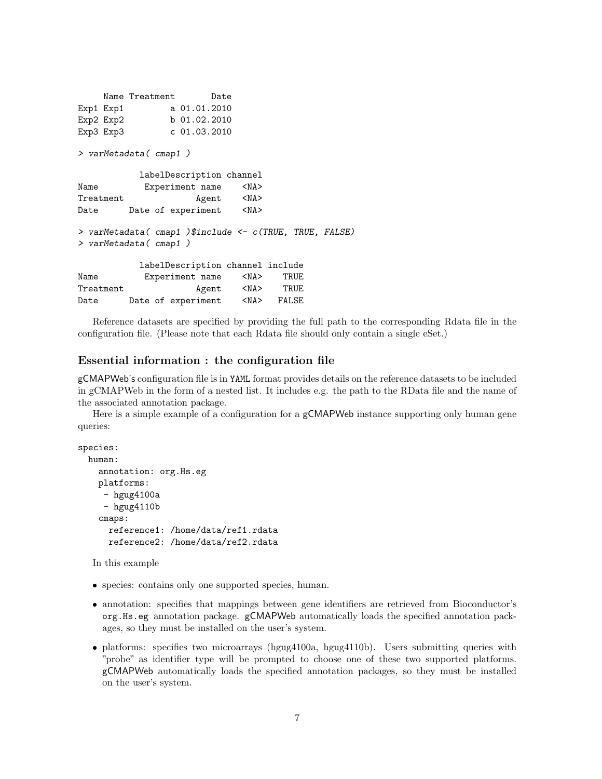```
Name Treatment Date
Exp1 Exp1 a 01.01.2010
Exp2 b 01.02.2010
Exp3 Exp3 c 01.03.2010
> varMetadata( cmap1 )
         labelDescription channel
Name Experiment name <NA>
Treatment Agent <NA>
Date Date of experiment <NA>
> varMetadata( cmap1 )$include <- c(TRUE, TRUE, FALSE)
> varMetadata( cmap1 )
         labelDescription channel include
Name Experiment name <NA> TRUE
Treatment Agent <NA> TRUE
Date Date of experiment <NA> FALSE
```
Reference datasets are specified by providing the full path to the corresponding Rdata file in the configuration file. (Please note that each Rdata file should only contain a single eSet.)

### Essential information : the configuration file

gCMAPWeb's configuration file is in YAML format provides details on the reference datasets to be included in gCMAPWeb in the form of a nested list. It includes e.g. the path to the RData file and the name of the associated annotation package.

Here is a simple example of a configuration for a **gCMAPWeb** instance supporting only human gene queries:

```
species:
 human:
    annotation: org.Hs.eg
    platforms:
     - hgug4100a
     - hgug4110bcmaps:
      reference1: /home/data/ref1.rdata
      reference2: /home/data/ref2.rdata
```
In this example

- species: contains only one supported species, human.
- annotation: specifies that mappings between gene identifiers are retrieved from Bioconductor's org.Hs.eg annotation package. gCMAPWeb automatically loads the specified annotation packages, so they must be installed on the user's system.
- platforms: specifies two microarrays (hgug4100a, hgug4110b). Users submitting queries with "probe" as identifier type will be prompted to choose one of these two supported platforms. gCMAPWeb automatically loads the specified annotation packages, so they must be installed on the user's system.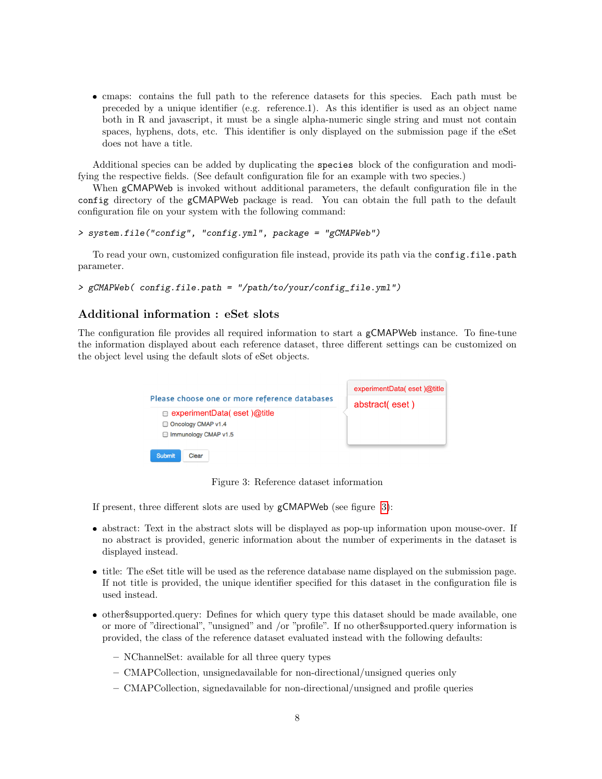cmaps: contains the full path to the reference datasets for this species. Each path must be preceded by a unique identifier (e.g. reference.1). As this identifier is used as an object name both in R and javascript, it must be a single alpha-numeric single string and must not contain spaces, hyphens, dots, etc. This identifier is only displayed on the submission page if the eSet does not have a title.

Additional species can be added by duplicating the species block of the configuration and modifying the respective fields. (See default configuration file for an example with two species.)

When gCMAPWeb is invoked without additional parameters, the default configuration file in the config directory of the gCMAPWeb package is read. You can obtain the full path to the default configuration file on your system with the following command:

```
> system.file("config", "config.yml", package = "gCMAPWeb")
```
To read your own, customized configuration file instead, provide its path via the config.file.path parameter.

```
> gCMAPWeb( config.file.path = "/path/to/your/config_file.yml")
```
### Additional information : eSet slots

<span id="page-7-0"></span>The configuration file provides all required information to start a gCMAPWeb instance. To fine-tune the information displayed about each reference dataset, three different settings can be customized on the object level using the default slots of eSet objects.



Figure 3: Reference dataset information

If present, three different slots are used by gCMAPWeb (see figure [3\)](#page-7-0):

- abstract: Text in the abstract slots will be displayed as pop-up information upon mouse-over. If no abstract is provided, generic information about the number of experiments in the dataset is displayed instead.
- title: The eSet title will be used as the reference database name displayed on the submission page. If not title is provided, the unique identifier specified for this dataset in the configuration file is used instead.
- other\$supported.query: Defines for which query type this dataset should be made available, one or more of "directional", "unsigned" and /or "profile". If no other\$supported.query information is provided, the class of the reference dataset evaluated instead with the following defaults:
	- NChannelSet: available for all three query types
	- CMAPCollection, unsignedavailable for non-directional/unsigned queries only
	- CMAPCollection, signedavailable for non-directional/unsigned and profile queries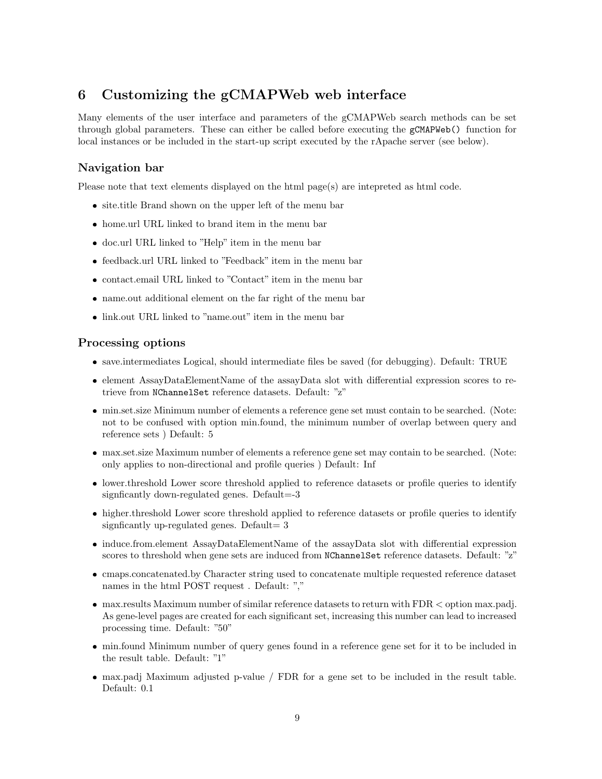# <span id="page-8-0"></span>6 Customizing the gCMAPWeb web interface

Many elements of the user interface and parameters of the gCMAPWeb search methods can be set through global parameters. These can either be called before executing the gCMAPWeb() function for local instances or be included in the start-up script executed by the rApache server (see below).

### Navigation bar

Please note that text elements displayed on the html page(s) are intepreted as html code.

- site.title Brand shown on the upper left of the menu bar
- home.url URL linked to brand item in the menu bar
- doc.url URL linked to "Help" item in the menu bar
- feedback.url URL linked to "Feedback" item in the menu bar
- contact.email URL linked to "Contact" item in the menu bar
- name.out additional element on the far right of the menu bar
- link.out URL linked to "name.out" item in the menu bar

#### Processing options

- save.intermediates Logical, should intermediate files be saved (for debugging). Default: TRUE
- element AssayDataElementName of the assayData slot with differential expression scores to retrieve from NChannelSet reference datasets. Default: "z"
- min.set.size Minimum number of elements a reference gene set must contain to be searched. (Note: not to be confused with option min.found, the minimum number of overlap between query and reference sets ) Default: 5
- max.set.size Maximum number of elements a reference gene set may contain to be searched. (Note: only applies to non-directional and profile queries ) Default: Inf
- lower.threshold Lower score threshold applied to reference datasets or profile queries to identify signficantly down-regulated genes. Default=-3
- higher.threshold Lower score threshold applied to reference datasets or profile queries to identify signficantly up-regulated genes. Default=  $3$
- induce.from.element AssayDataElementName of the assayData slot with differential expression scores to threshold when gene sets are induced from NChannelSet reference datasets. Default: "z"
- cmaps.concatenated.by Character string used to concatenate multiple requested reference dataset names in the html POST request . Default: ","
- max.results Maximum number of similar reference datasets to return with FDR < option max.padj. As gene-level pages are created for each significant set, increasing this number can lead to increased processing time. Default: "50"
- min.found Minimum number of query genes found in a reference gene set for it to be included in the result table. Default: "1"
- max.padj Maximum adjusted p-value / FDR for a gene set to be included in the result table. Default: 0.1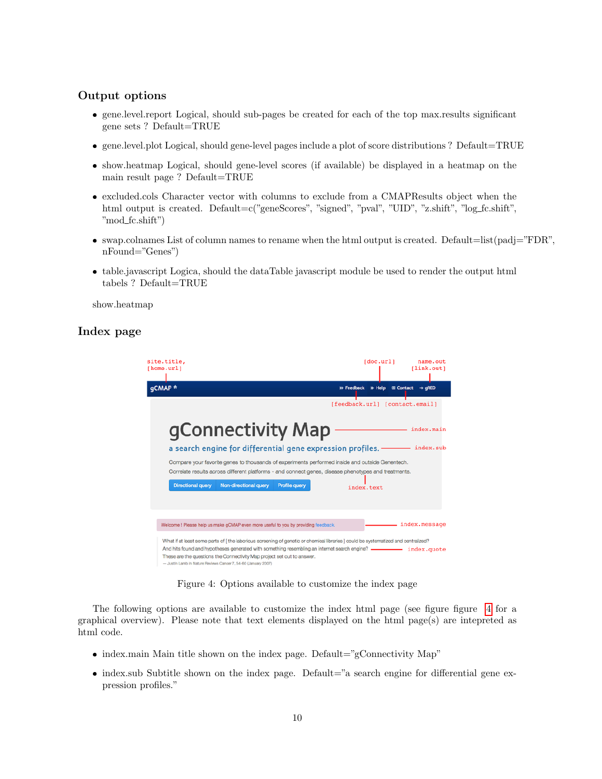### Output options

- gene.level.report Logical, should sub-pages be created for each of the top max.results significant gene sets ? Default=TRUE
- gene.level.plot Logical, should gene-level pages include a plot of score distributions ? Default=TRUE
- show.heatmap Logical, should gene-level scores (if available) be displayed in a heatmap on the main result page ? Default=TRUE
- excluded.cols Character vector with columns to exclude from a CMAPResults object when the html output is created. Default=c("geneScores", "signed", "pval", "UID", "z.shift", "log\_fc.shift", "mod fc.shift")
- swap.colnames List of column names to rename when the html output is created. Default=list(padj="FDR", nFound="Genes")
- table.javascript Logica, should the dataTable javascript module be used to render the output html tabels ? Default=TRUE

show.heatmap

### <span id="page-9-0"></span>Index page



Figure 4: Options available to customize the index page

The following options are available to customize the index html page (see figure figure [4](#page-9-0) for a graphical overview). Please note that text elements displayed on the html page(s) are intepreted as html code.

- $\bullet$  index.main Main title shown on the index page. Default="gConnectivity Map"
- index.sub Subtitle shown on the index page. Default="a search engine for differential gene expression profiles."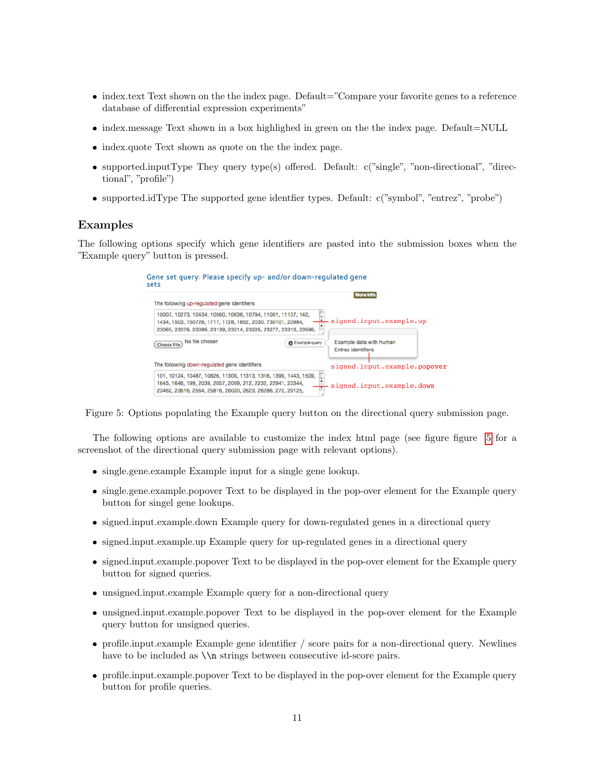- index.text Text shown on the the index page. Default="Compare your favorite genes to a reference database of differential expression experiments"
- index.message Text shown in a box highlighed in green on the the index page. Default=NULL
- index.quote Text shown as quote on the the index page.
- supported.inputType They query type(s) offered. Default: c("single", "non-directional", "directional", "profile")
- supported.idType The supported gene identfier types. Default: c("symbol", "entrez", "probe")

#### Examples

<span id="page-10-0"></span>The following options specify which gene identifiers are pasted into the submission boxes when the "Example query" button is pressed.

| Gene set query: Please specify up- and/or down-regulated gene<br>sets                                                                                                                        |                        |                                               |  |
|----------------------------------------------------------------------------------------------------------------------------------------------------------------------------------------------|------------------------|-----------------------------------------------|--|
| The following up-regulated gene identifiers                                                                                                                                                  |                        | <b>More Info</b>                              |  |
| 10007, 10273, 10434, 10560, 10636, 10794, 11001, 11137, 142,<br>1434, 1503, 150726, 1717, 1728, 1852, 2030, 730101, 22984,<br>23065, 23076, 23086, 23139, 23214, 23225, 23277, 23313, 23596, |                        | signed.input.example.up                       |  |
| No file chosen<br><b>Choose File</b>                                                                                                                                                         | <b>B</b> Example query | Example data with human<br>Entrez identifiers |  |
| The following down-regulated gene identifiers                                                                                                                                                |                        | signed.input.example.popover                  |  |
| 101, 10124, 10487, 10826, 11309, 11313, 1316, 1390, 1443, 1509,<br>1645, 1646, 199, 2039, 2057, 2099, 212, 2232, 22941, 23344,<br>23462, 23616, 2564, 25816, 26020, 2623, 26286, 272, 29125, |                        | signed.input.example.down                     |  |

Figure 5: Options populating the Example query button on the directional query submission page.

The following options are available to customize the index html page (see figure figure [5](#page-10-0) for a screenshot of the directional query submission page with relevant options).

- single.gene.example Example input for a single gene lookup.
- single.gene.example.popover Text to be displayed in the pop-over element for the Example query button for singel gene lookups.
- signed.input.example.down Example query for down-regulated genes in a directional query
- signed.input.example.up Example query for up-regulated genes in a directional query
- signed.input.example.popover Text to be displayed in the pop-over element for the Example query button for signed queries.
- unsigned.input.example Example query for a non-directional query
- unsigned.input.example.popover Text to be displayed in the pop-over element for the Example query button for unsigned queries.
- profile.input.example Example gene identifier / score pairs for a non-directional query. Newlines have to be included as  $\n\in$  strings between consecutive id-score pairs.
- profile.input.example.popover Text to be displayed in the pop-over element for the Example query button for profile queries.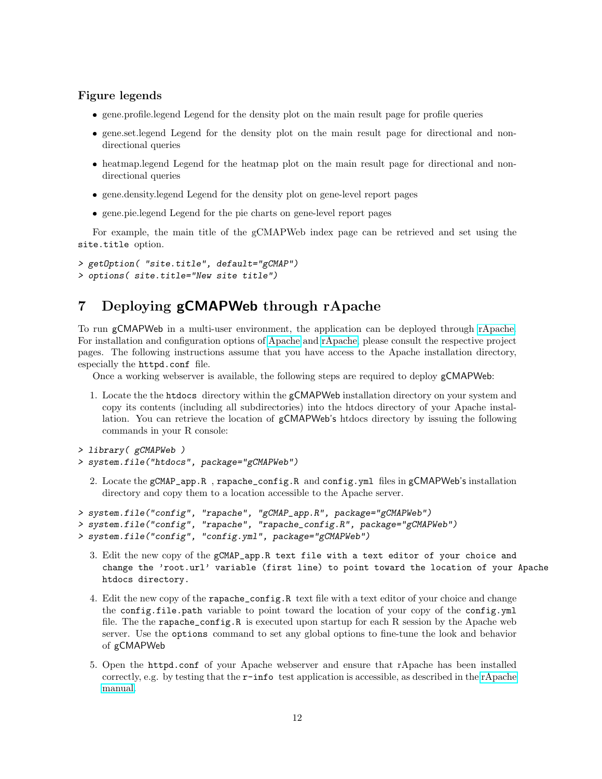#### Figure legends

- gene.profile.legend Legend for the density plot on the main result page for profile queries
- gene.set.legend Legend for the density plot on the main result page for directional and nondirectional queries
- heatmap.legend Legend for the heatmap plot on the main result page for directional and nondirectional queries
- gene.density.legend Legend for the density plot on gene-level report pages
- gene.pie.legend Legend for the pie charts on gene-level report pages

For example, the main title of the gCMAPWeb index page can be retrieved and set using the site.title option.

```
> getOption( "site.title", default="gCMAP")
> options( site.title="New site title")
```
# <span id="page-11-0"></span>7 Deploying gCMAPWeb through rApache

To run gCMAPWeb in a multi-user environment, the application can be deployed through [rApache.](http://rapache.net/) For installation and configuration options of [Apache](http://httpd.apache.org/) and [rApache,](http://rapache.net/) please consult the respective project pages. The following instructions assume that you have access to the Apache installation directory, especially the httpd.conf file.

Once a working webserver is available, the following steps are required to deploy gCMAPWeb:

1. Locate the the htdocs directory within the gCMAPWeb installation directory on your system and copy its contents (including all subdirectories) into the htdocs directory of your Apache installation. You can retrieve the location of gCMAPWeb's htdocs directory by issuing the following commands in your R console:

```
> library( gCMAPWeb )
```

```
> system.file("htdocs", package="gCMAPWeb")
```
2. Locate the gCMAP\_app.R , rapache\_config.R and config.yml files in gCMAPWeb's installation directory and copy them to a location accessible to the Apache server.

```
> system.file("config", "rapache", "gCMAP_app.R", package="gCMAPWeb")
> system.file("config", "rapache", "rapache_config.R", package="gCMAPWeb")
> system.file("config", "config.yml", package="gCMAPWeb")
```
- 3. Edit the new copy of the gCMAP\_app.R text file with a text editor of your choice and change the 'root.url' variable (first line) to point toward the location of your Apache htdocs directory.
- 4. Edit the new copy of the rapache\_config.R text file with a text editor of your choice and change the config.file.path variable to point toward the location of your copy of the config.yml file. The the rapache\_config.R is executed upon startup for each R session by the Apache web server. Use the options command to set any global options to fine-tune the look and behavior of gCMAPWeb
- 5. Open the httpd.conf of your Apache webserver and ensure that rApache has been installed correctly, e.g. by testing that the  $r$ -info test application is accessible, as described in the [rApache](http://rapache.net/manual.html) [manual.](http://rapache.net/manual.html)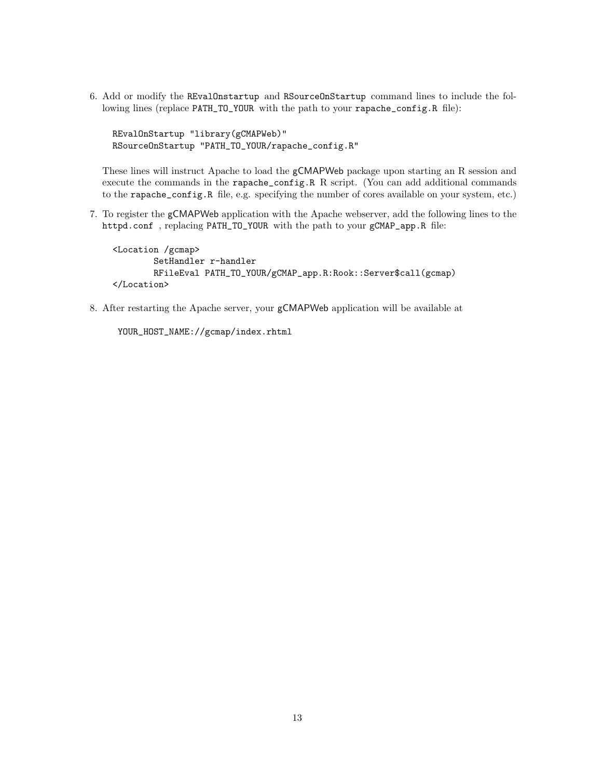6. Add or modify the REvalOnstartup and RSourceOnStartup command lines to include the following lines (replace PATH\_TO\_YOUR with the path to your rapache\_config.R file):

REvalOnStartup "library(gCMAPWeb)" RSourceOnStartup "PATH\_TO\_YOUR/rapache\_config.R"

These lines will instruct Apache to load the gCMAPWeb package upon starting an R session and execute the commands in the rapache\_config.R R script. (You can add additional commands to the rapache\_config.R file, e.g. specifying the number of cores available on your system, etc.)

7. To register the gCMAPWeb application with the Apache webserver, add the following lines to the httpd.conf , replacing PATH\_TO\_YOUR with the path to your gCMAP\_app.R file:

```
<Location /gcmap>
        SetHandler r-handler
        RFileEval PATH_TO_YOUR/gCMAP_app.R:Rook::Server$call(gcmap)
</Location>
```
8. After restarting the Apache server, your gCMAPWeb application will be available at

```
YOUR_HOST_NAME://gcmap/index.rhtml
```